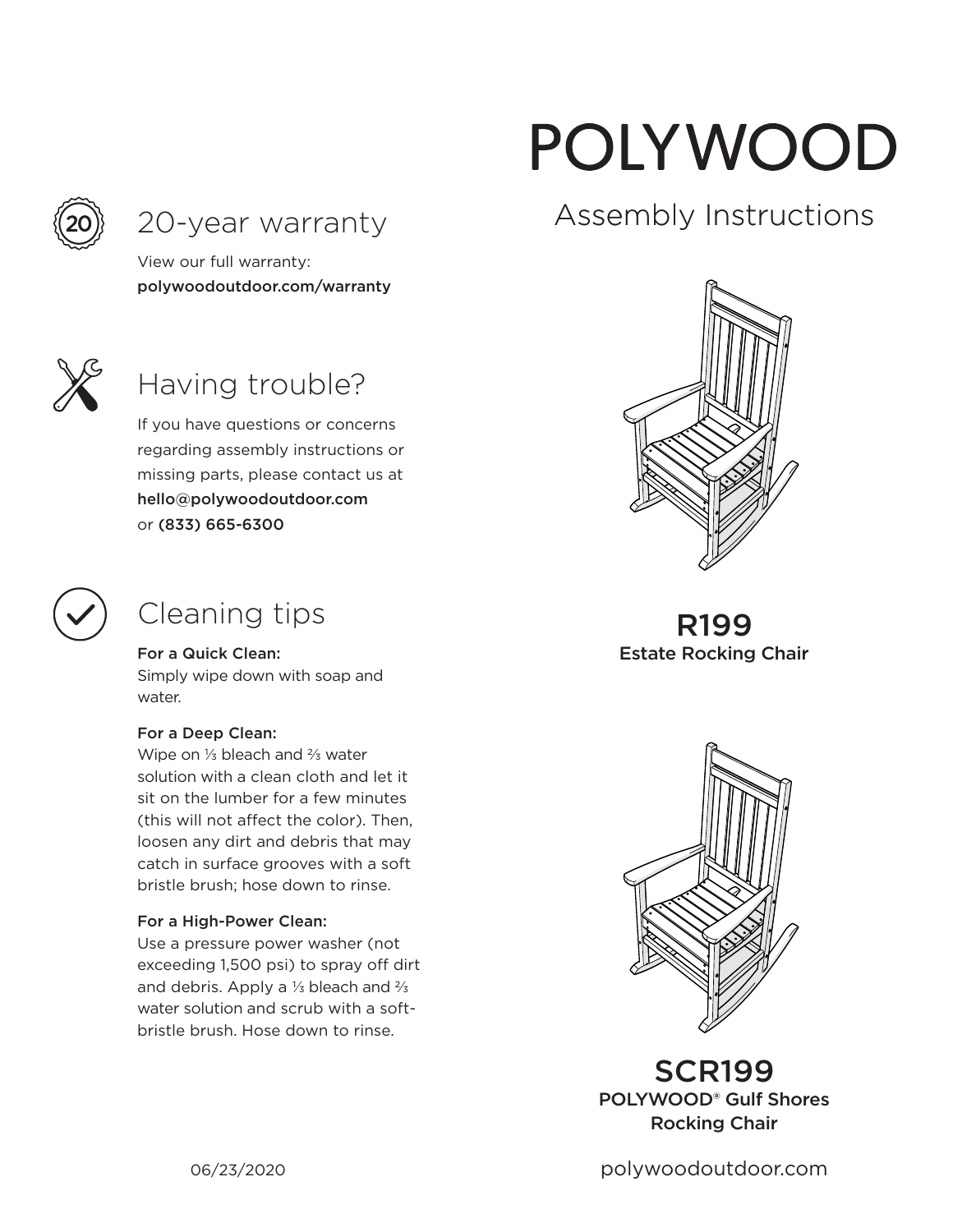

### 20-year warranty

View our full warranty: polywoodoutdoor.com/warranty



# Having trouble?

If you have questions or concerns regarding assembly instructions or missing parts, please contact us at hello@polywoodoutdoor.com or (833) 665-6300



# Cleaning tips

For a Quick Clean:

Simply wipe down with soap and water.

#### For a Deep Clean:

Wipe on ⅓ bleach and ⅔ water solution with a clean cloth and let it sit on the lumber for a few minutes (this will not affect the color). Then, loosen any dirt and debris that may catch in surface grooves with a soft bristle brush; hose down to rinse.

#### For a High-Power Clean:

Use a pressure power washer (not exceeding 1,500 psi) to spray off dirt and debris. Apply a ⅓ bleach and ⅔ water solution and scrub with a softbristle brush. Hose down to rinse.

# POLYWOOD

# Assembly Instructions



R199 Estate Rocking Chair



SCR199 POLYWOOD® Gulf Shores Rocking Chair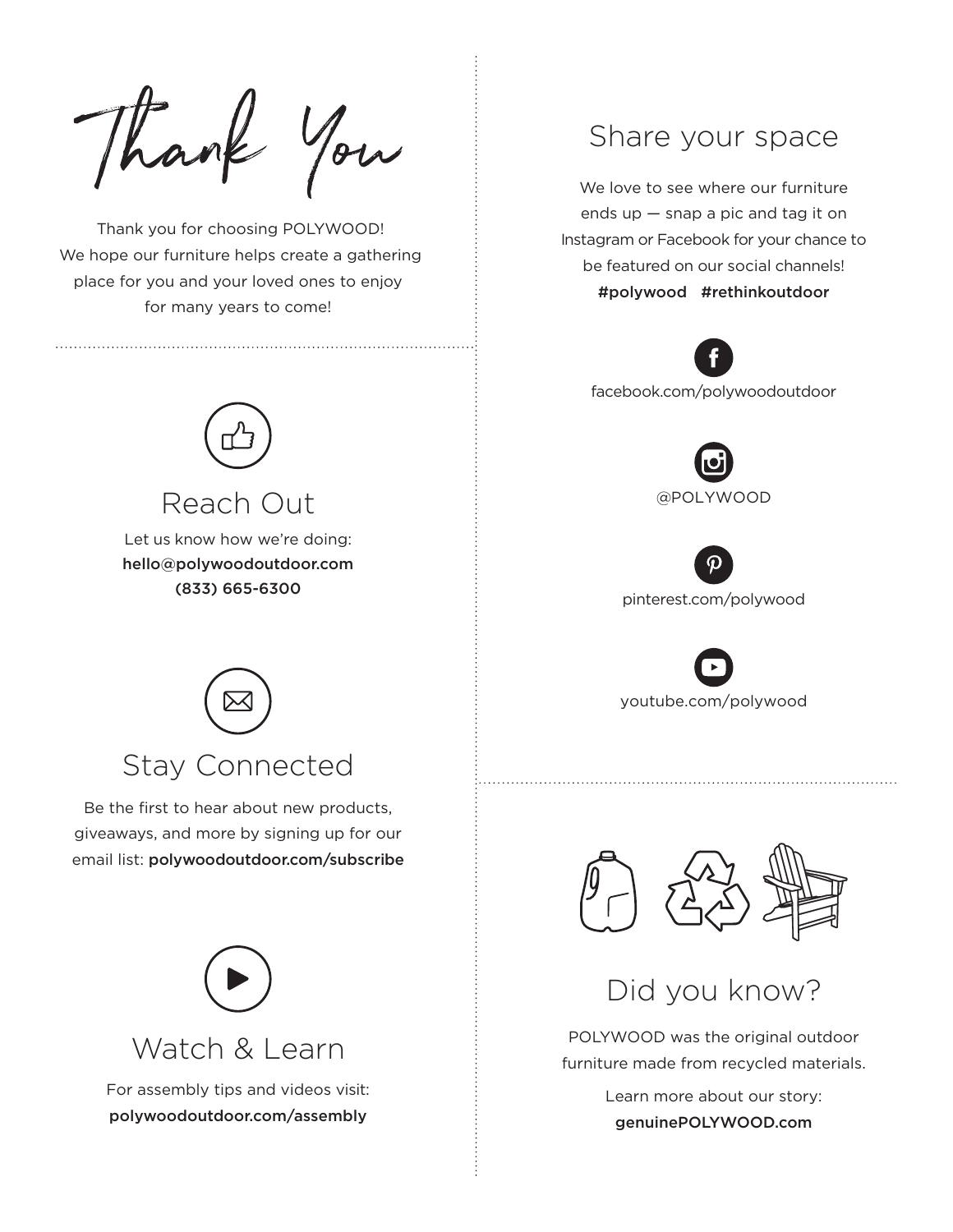Thank You

 Thank you for choosing POLYWOOD! We hope our furniture helps create a gathering place for you and your loved ones to enjoy for many years to come!



Let us know how we're doing: hello@polywoodoutdoor.com (833) 665-6300

Reach Out



Be the first to hear about new products, giveaways, and more by signing up for our email list: polywoodoutdoor.com/subscribe



For assembly tips and videos visit: polywoodoutdoor.com/assembly

#### Share your space

We love to see where our furniture ends up — snap a pic and tag it on Instagram or Facebook for your chance to be featured on our social channels! #polywood #rethinkoutdoor



facebook.com/polywoodoutdoor



pinterest.com/polywood

youtube.com/polywood



### Did you know?

POLYWOOD was the original outdoor furniture made from recycled materials.

> Learn more about our story: genuinePOLYWOOD.com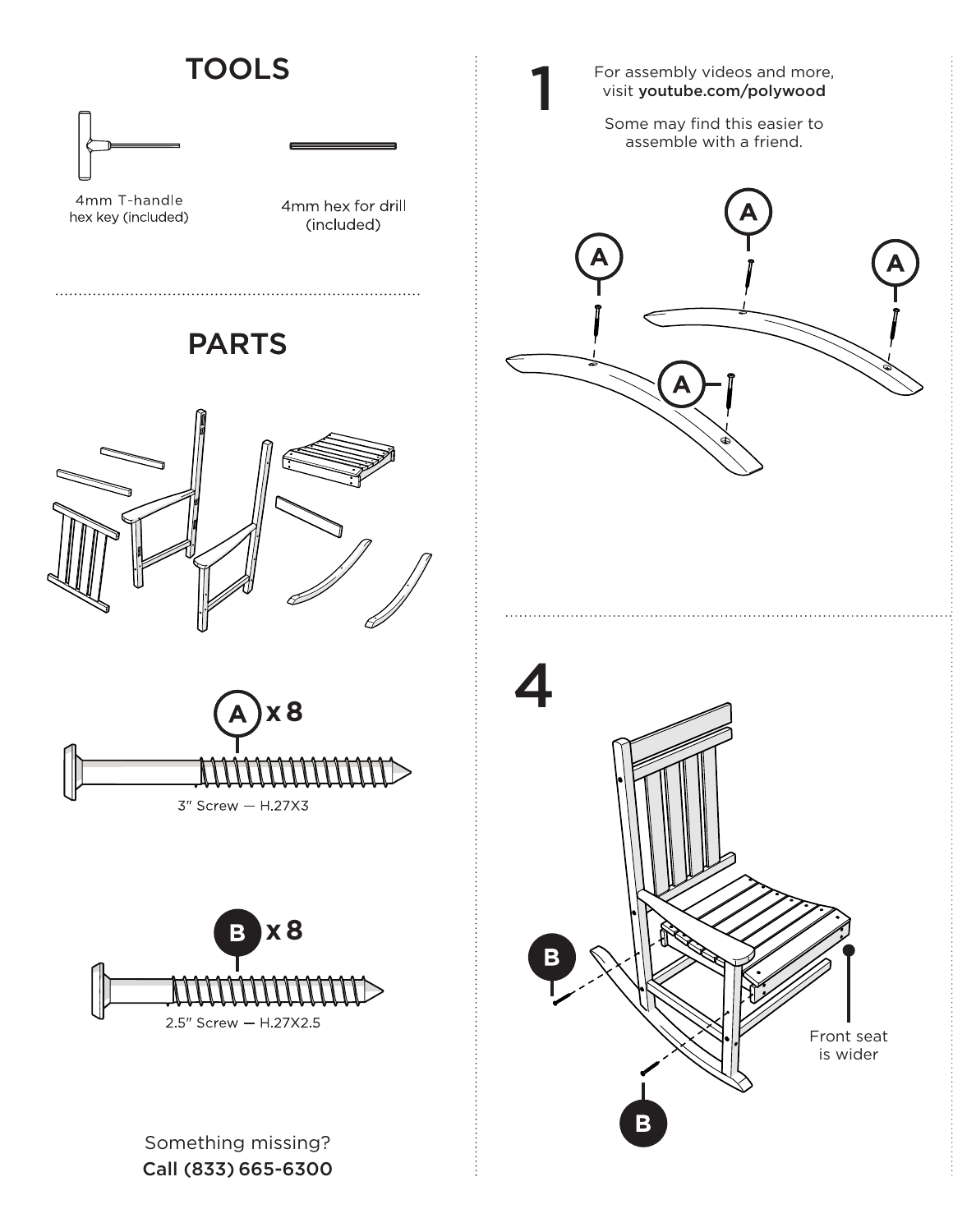## **TOOLS**



4mm T-handle hex key (included)

4mm hex for drill (included)

## PARTS







Something missing? Call (833) 665-6300 For assembly videos and more, visit youtube.com/polywood

1

Some may find this easier to assemble with a friend.